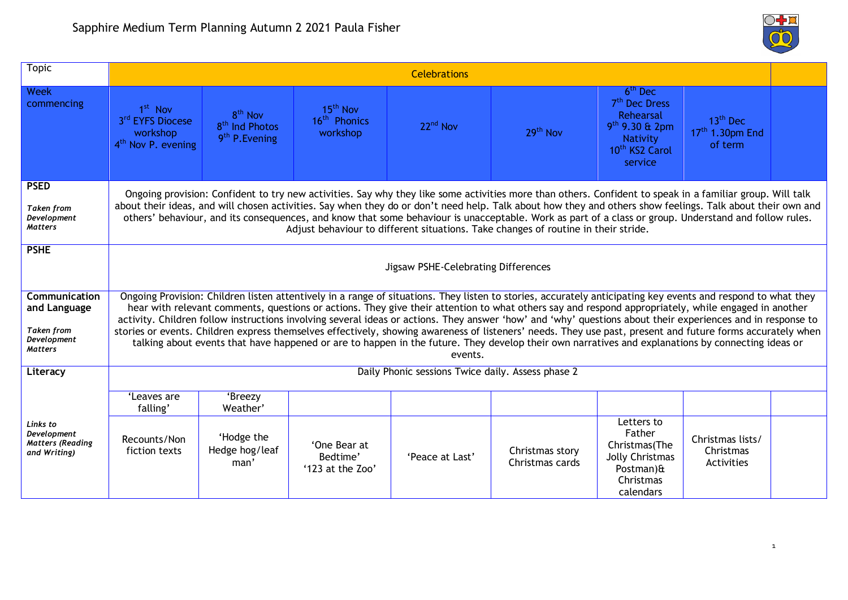| <b>Topic</b>                                                                               | <b>Celebrations</b>                                                                                                                                                                                                                                                                                                                                                                                                                                                                                                                                                                                                                                                                                                                                                                                              |                                                                                 |                                                              |                      |                                    |                                                                                                                                        |                                                                |  |
|--------------------------------------------------------------------------------------------|------------------------------------------------------------------------------------------------------------------------------------------------------------------------------------------------------------------------------------------------------------------------------------------------------------------------------------------------------------------------------------------------------------------------------------------------------------------------------------------------------------------------------------------------------------------------------------------------------------------------------------------------------------------------------------------------------------------------------------------------------------------------------------------------------------------|---------------------------------------------------------------------------------|--------------------------------------------------------------|----------------------|------------------------------------|----------------------------------------------------------------------------------------------------------------------------------------|----------------------------------------------------------------|--|
| <b>Week</b><br>commencing                                                                  | 1 <sup>st</sup> Nov<br>3rd EYFS Diocese<br>workshop<br>4 <sup>th</sup> Nov P. evening                                                                                                                                                                                                                                                                                                                                                                                                                                                                                                                                                                                                                                                                                                                            | 8 <sup>th</sup> Nov<br>8 <sup>th</sup> Ind Photos<br>9 <sup>th</sup> P. Evening | 15 <sup>th</sup> Nov<br>16 <sup>th</sup> Phonics<br>workshop | 22 <sup>nd</sup> Nov | 29 <sup>th</sup> Nov               | $6th$ Dec<br>7 <sup>th</sup> Dec Dress<br>Rehearsal<br>9 <sup>th</sup> 9.30 & 2pm<br>Nativity<br>10 <sup>th</sup> KS2 Carol<br>service | 13 <sup>th</sup> Dec<br>17 <sup>th</sup> 1.30pm End<br>of term |  |
| <b>PSED</b><br><b>Taken from</b><br>Development<br><b>Matters</b>                          | Ongoing provision: Confident to try new activities. Say why they like some activities more than others. Confident to speak in a familiar group. Will talk<br>about their ideas, and will chosen activities. Say when they do or don't need help. Talk about how they and others show feelings. Talk about their own and<br>others' behaviour, and its consequences, and know that some behaviour is unacceptable. Work as part of a class or group. Understand and follow rules.<br>Adjust behaviour to different situations. Take changes of routine in their stride.                                                                                                                                                                                                                                           |                                                                                 |                                                              |                      |                                    |                                                                                                                                        |                                                                |  |
| <b>PSHE</b>                                                                                | Jigsaw PSHE-Celebrating Differences                                                                                                                                                                                                                                                                                                                                                                                                                                                                                                                                                                                                                                                                                                                                                                              |                                                                                 |                                                              |                      |                                    |                                                                                                                                        |                                                                |  |
| <b>Communication</b><br>and Language<br><b>Taken from</b><br>Development<br><b>Matters</b> | Ongoing Provision: Children listen attentively in a range of situations. They listen to stories, accurately anticipating key events and respond to what they<br>hear with relevant comments, questions or actions. They give their attention to what others say and respond appropriately, while engaged in another<br>activity. Children follow instructions involving several ideas or actions. They answer 'how' and 'why' questions about their experiences and in response to<br>stories or events. Children express themselves effectively, showing awareness of listeners' needs. They use past, present and future forms accurately when<br>talking about events that have happened or are to happen in the future. They develop their own narratives and explanations by connecting ideas or<br>events. |                                                                                 |                                                              |                      |                                    |                                                                                                                                        |                                                                |  |
| Literacy                                                                                   | Daily Phonic sessions Twice daily. Assess phase 2                                                                                                                                                                                                                                                                                                                                                                                                                                                                                                                                                                                                                                                                                                                                                                |                                                                                 |                                                              |                      |                                    |                                                                                                                                        |                                                                |  |
|                                                                                            | 'Leaves are<br>falling'                                                                                                                                                                                                                                                                                                                                                                                                                                                                                                                                                                                                                                                                                                                                                                                          | 'Breezy<br>Weather'                                                             |                                                              |                      |                                    |                                                                                                                                        |                                                                |  |
| Links to<br>Development<br><b>Matters (Reading</b><br>and Writing)                         | Recounts/Non<br>fiction texts                                                                                                                                                                                                                                                                                                                                                                                                                                                                                                                                                                                                                                                                                                                                                                                    | 'Hodge the<br>Hedge hog/leaf<br>man'                                            | 'One Bear at<br>Bedtime'<br>'123 at the Zoo'                 | 'Peace at Last'      | Christmas story<br>Christmas cards | Letters to<br>Father<br>Christmas(The<br>Jolly Christmas<br>Postman) $\hat{a}$<br>Christmas<br>calendars                               | Christmas lists/<br>Christmas<br>Activities                    |  |

 $\bigcirc$   $\bigcirc$  $\overline{\text{O}}$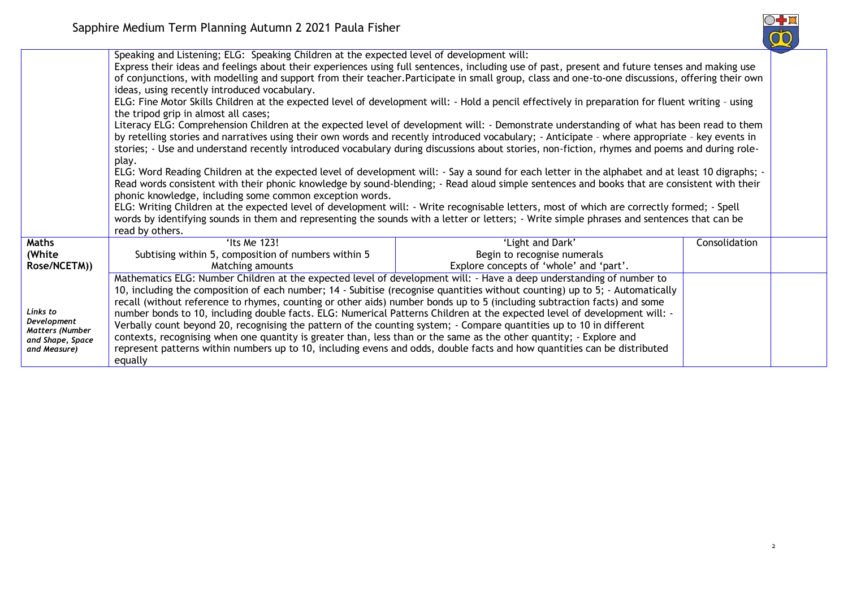

|                                                                                | Speaking and Listening; ELG: Speaking Children at the expected level of development will:<br>Express their ideas and feelings about their experiences using full sentences, including use of past, present and future tenses and making use<br>of conjunctions, with modelling and support from their teacher.Participate in small group, class and one-to-one discussions, offering their own<br>ideas, using recently introduced vocabulary.<br>ELG: Fine Motor Skills Children at the expected level of development will: - Hold a pencil effectively in preparation for fluent writing - using<br>the tripod grip in almost all cases;<br>Literacy ELG: Comprehension Children at the expected level of development will: - Demonstrate understanding of what has been read to them<br>by retelling stories and narratives using their own words and recently introduced vocabulary; - Anticipate - where appropriate - key events in<br>stories; - Use and understand recently introduced vocabulary during discussions about stories, non-fiction, rhymes and poems and during role-<br>play.<br>ELG: Word Reading Children at the expected level of development will: - Say a sound for each letter in the alphabet and at least 10 digraphs; -<br>Read words consistent with their phonic knowledge by sound-blending; - Read aloud simple sentences and books that are consistent with their<br>phonic knowledge, including some common exception words.<br>ELG: Writing Children at the expected level of development will: - Write recognisable letters, most of which are correctly formed; - Spell<br>words by identifying sounds in them and representing the sounds with a letter or letters; - Write simple phrases and sentences that can be<br>read by others. |                                                                                            |               |  |  |
|--------------------------------------------------------------------------------|----------------------------------------------------------------------------------------------------------------------------------------------------------------------------------------------------------------------------------------------------------------------------------------------------------------------------------------------------------------------------------------------------------------------------------------------------------------------------------------------------------------------------------------------------------------------------------------------------------------------------------------------------------------------------------------------------------------------------------------------------------------------------------------------------------------------------------------------------------------------------------------------------------------------------------------------------------------------------------------------------------------------------------------------------------------------------------------------------------------------------------------------------------------------------------------------------------------------------------------------------------------------------------------------------------------------------------------------------------------------------------------------------------------------------------------------------------------------------------------------------------------------------------------------------------------------------------------------------------------------------------------------------------------------------------------------------------------------------------------------------------------------------------|--------------------------------------------------------------------------------------------|---------------|--|--|
| <b>Maths</b><br>(White<br>Rose/NCETM))                                         | 'Its Me 123!<br>Subtising within 5, composition of numbers within 5<br>Matching amounts                                                                                                                                                                                                                                                                                                                                                                                                                                                                                                                                                                                                                                                                                                                                                                                                                                                                                                                                                                                                                                                                                                                                                                                                                                                                                                                                                                                                                                                                                                                                                                                                                                                                                          | 'Light and Dark'<br>Begin to recognise numerals<br>Explore concepts of 'whole' and 'part'. | Consolidation |  |  |
| Links to<br>Development<br>Matters (Number<br>and Shape, Space<br>and Measure) | Mathematics ELG: Number Children at the expected level of development will: - Have a deep understanding of number to<br>10, including the composition of each number; 14 - Subitise (recognise quantities without counting) up to 5; - Automatically<br>recall (without reference to rhymes, counting or other aids) number bonds up to 5 (including subtraction facts) and some<br>number bonds to 10, including double facts. ELG: Numerical Patterns Children at the expected level of development will: -<br>Verbally count beyond 20, recognising the pattern of the counting system; - Compare quantities up to 10 in different<br>contexts, recognising when one quantity is greater than, less than or the same as the other quantity; - Explore and<br>represent patterns within numbers up to 10, including evens and odds, double facts and how quantities can be distributed<br>equally                                                                                                                                                                                                                                                                                                                                                                                                                                                                                                                                                                                                                                                                                                                                                                                                                                                                              |                                                                                            |               |  |  |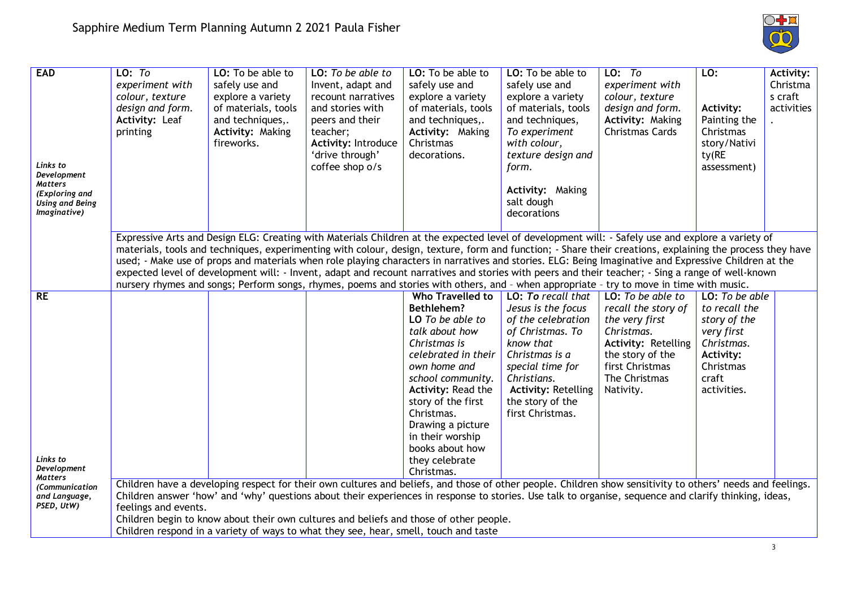

| LO: To<br>experiment with<br>colour, texture<br>design and form.<br><b>Activity: Leaf</b><br>printing                                                 | LO: To be able to<br>safely use and<br>explore a variety<br>of materials, tools<br>and techniques,.<br><b>Activity: Making</b><br>fireworks. | LO: To be able to<br>Invent, adapt and<br>recount narratives<br>and stories with<br>peers and their<br>teacher;<br><b>Activity: Introduce</b><br>'drive through'<br>coffee shop o/s | LO: To be able to<br>safely use and<br>explore a variety<br>of materials, tools<br>and techniques,.<br>Activity: Making<br>Christmas<br>decorations. | LO: To be able to<br>safely use and<br>explore a variety<br>of materials, tools<br>and techniques,<br>To experiment<br>with colour,<br>texture design and<br>form.<br>Activity: Making<br>salt dough<br>decorations                                 | $LO:$ To<br>experiment with<br>colour, texture<br>design and form.<br>Activity: Making<br>Christmas Cards                                                                                                           | LO:<br><b>Activity:</b><br>Painting the<br>Christmas<br>story/Nativi<br>ty(RE<br>assessment) | <b>Activity:</b><br>Christma<br>s craft<br>activities                                                                                                                                                                                                                                                                                                                                                                                                                                                                                                                                                                                                                                                                                                                                                                                                                                                                                                                                                                        |
|-------------------------------------------------------------------------------------------------------------------------------------------------------|----------------------------------------------------------------------------------------------------------------------------------------------|-------------------------------------------------------------------------------------------------------------------------------------------------------------------------------------|------------------------------------------------------------------------------------------------------------------------------------------------------|-----------------------------------------------------------------------------------------------------------------------------------------------------------------------------------------------------------------------------------------------------|---------------------------------------------------------------------------------------------------------------------------------------------------------------------------------------------------------------------|----------------------------------------------------------------------------------------------|------------------------------------------------------------------------------------------------------------------------------------------------------------------------------------------------------------------------------------------------------------------------------------------------------------------------------------------------------------------------------------------------------------------------------------------------------------------------------------------------------------------------------------------------------------------------------------------------------------------------------------------------------------------------------------------------------------------------------------------------------------------------------------------------------------------------------------------------------------------------------------------------------------------------------------------------------------------------------------------------------------------------------|
|                                                                                                                                                       |                                                                                                                                              |                                                                                                                                                                                     |                                                                                                                                                      |                                                                                                                                                                                                                                                     |                                                                                                                                                                                                                     |                                                                                              |                                                                                                                                                                                                                                                                                                                                                                                                                                                                                                                                                                                                                                                                                                                                                                                                                                                                                                                                                                                                                              |
|                                                                                                                                                       |                                                                                                                                              |                                                                                                                                                                                     | <b>Who Travelled to</b>                                                                                                                              | LO: To recall that                                                                                                                                                                                                                                  | LO: To be able to                                                                                                                                                                                                   |                                                                                              |                                                                                                                                                                                                                                                                                                                                                                                                                                                                                                                                                                                                                                                                                                                                                                                                                                                                                                                                                                                                                              |
|                                                                                                                                                       |                                                                                                                                              |                                                                                                                                                                                     | LO To be able to                                                                                                                                     | of the celebration                                                                                                                                                                                                                                  | the very first                                                                                                                                                                                                      | story of the                                                                                 |                                                                                                                                                                                                                                                                                                                                                                                                                                                                                                                                                                                                                                                                                                                                                                                                                                                                                                                                                                                                                              |
|                                                                                                                                                       |                                                                                                                                              |                                                                                                                                                                                     | Christmas is                                                                                                                                         | know that                                                                                                                                                                                                                                           | <b>Activity: Retelling</b>                                                                                                                                                                                          | Christmas.                                                                                   |                                                                                                                                                                                                                                                                                                                                                                                                                                                                                                                                                                                                                                                                                                                                                                                                                                                                                                                                                                                                                              |
|                                                                                                                                                       |                                                                                                                                              |                                                                                                                                                                                     | own home and                                                                                                                                         | special time for                                                                                                                                                                                                                                    | first Christmas                                                                                                                                                                                                     | Christmas                                                                                    |                                                                                                                                                                                                                                                                                                                                                                                                                                                                                                                                                                                                                                                                                                                                                                                                                                                                                                                                                                                                                              |
|                                                                                                                                                       |                                                                                                                                              |                                                                                                                                                                                     |                                                                                                                                                      |                                                                                                                                                                                                                                                     |                                                                                                                                                                                                                     |                                                                                              |                                                                                                                                                                                                                                                                                                                                                                                                                                                                                                                                                                                                                                                                                                                                                                                                                                                                                                                                                                                                                              |
|                                                                                                                                                       |                                                                                                                                              |                                                                                                                                                                                     | story of the first                                                                                                                                   | the story of the                                                                                                                                                                                                                                    |                                                                                                                                                                                                                     |                                                                                              |                                                                                                                                                                                                                                                                                                                                                                                                                                                                                                                                                                                                                                                                                                                                                                                                                                                                                                                                                                                                                              |
|                                                                                                                                                       |                                                                                                                                              |                                                                                                                                                                                     | Drawing a picture                                                                                                                                    |                                                                                                                                                                                                                                                     |                                                                                                                                                                                                                     |                                                                                              |                                                                                                                                                                                                                                                                                                                                                                                                                                                                                                                                                                                                                                                                                                                                                                                                                                                                                                                                                                                                                              |
|                                                                                                                                                       |                                                                                                                                              |                                                                                                                                                                                     | in their worship                                                                                                                                     |                                                                                                                                                                                                                                                     |                                                                                                                                                                                                                     |                                                                                              |                                                                                                                                                                                                                                                                                                                                                                                                                                                                                                                                                                                                                                                                                                                                                                                                                                                                                                                                                                                                                              |
|                                                                                                                                                       |                                                                                                                                              |                                                                                                                                                                                     | they celebrate                                                                                                                                       |                                                                                                                                                                                                                                                     |                                                                                                                                                                                                                     |                                                                                              |                                                                                                                                                                                                                                                                                                                                                                                                                                                                                                                                                                                                                                                                                                                                                                                                                                                                                                                                                                                                                              |
|                                                                                                                                                       |                                                                                                                                              |                                                                                                                                                                                     |                                                                                                                                                      |                                                                                                                                                                                                                                                     |                                                                                                                                                                                                                     |                                                                                              |                                                                                                                                                                                                                                                                                                                                                                                                                                                                                                                                                                                                                                                                                                                                                                                                                                                                                                                                                                                                                              |
| Children answer 'how' and 'why' questions about their experiences in response to stories. Use talk to organise, sequence and clarify thinking, ideas, |                                                                                                                                              |                                                                                                                                                                                     |                                                                                                                                                      |                                                                                                                                                                                                                                                     |                                                                                                                                                                                                                     |                                                                                              |                                                                                                                                                                                                                                                                                                                                                                                                                                                                                                                                                                                                                                                                                                                                                                                                                                                                                                                                                                                                                              |
|                                                                                                                                                       |                                                                                                                                              |                                                                                                                                                                                     |                                                                                                                                                      |                                                                                                                                                                                                                                                     |                                                                                                                                                                                                                     |                                                                                              |                                                                                                                                                                                                                                                                                                                                                                                                                                                                                                                                                                                                                                                                                                                                                                                                                                                                                                                                                                                                                              |
|                                                                                                                                                       |                                                                                                                                              |                                                                                                                                                                                     |                                                                                                                                                      |                                                                                                                                                                                                                                                     |                                                                                                                                                                                                                     |                                                                                              |                                                                                                                                                                                                                                                                                                                                                                                                                                                                                                                                                                                                                                                                                                                                                                                                                                                                                                                                                                                                                              |
|                                                                                                                                                       |                                                                                                                                              | feelings and events.                                                                                                                                                                |                                                                                                                                                      | <b>Bethlehem?</b><br>talk about how<br>celebrated in their<br>school community.<br><b>Activity: Read the</b><br>Christmas.<br>books about how<br>Christmas.<br>Children respond in a variety of ways to what they see, hear, smell, touch and taste | Jesus is the focus<br>of Christmas. To<br>Christmas is a<br>Christians.<br><b>Activity: Retelling</b><br>first Christmas.<br>Children begin to know about their own cultures and beliefs and those of other people. | recall the story of<br>Christmas.<br>the story of the<br>The Christmas<br>Nativity.          | Expressive Arts and Design ELG: Creating with Materials Children at the expected level of development will: - Safely use and explore a variety of<br>materials, tools and techniques, experimenting with colour, design, texture, form and function; - Share their creations, explaining the process they have<br>used; - Make use of props and materials when role playing characters in narratives and stories. ELG: Being Imaginative and Expressive Children at the<br>expected level of development will: - Invent, adapt and recount narratives and stories with peers and their teacher; - Sing a range of well-known<br>nursery rhymes and songs; Perform songs, rhymes, poems and stories with others, and - when appropriate - try to move in time with music.<br>LO: To be able<br>to recall the<br>very first<br>Activity:<br>craft<br>activities.<br>Children have a developing respect for their own cultures and beliefs, and those of other people. Children show sensitivity to others' needs and feelings. |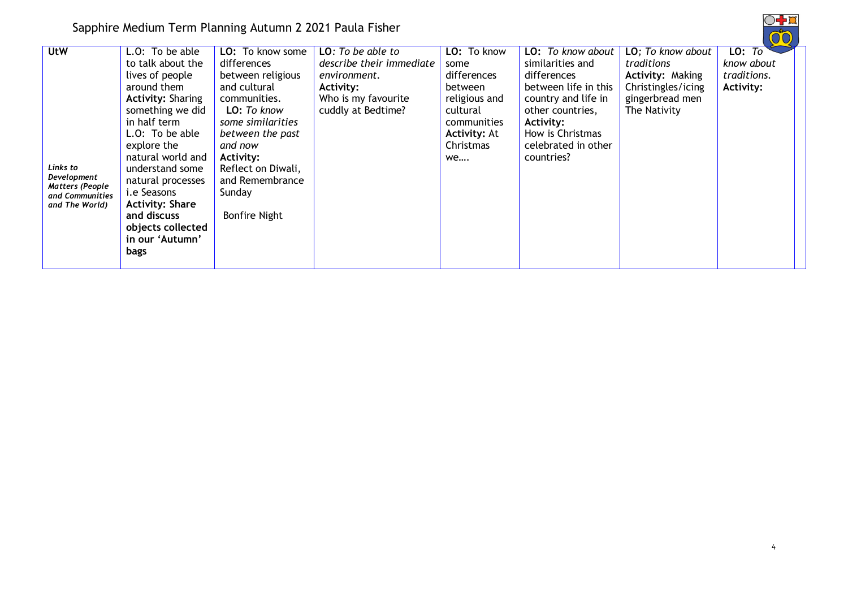Sapphire Medium Term Planning Autumn 2 2021 Paula Fisher